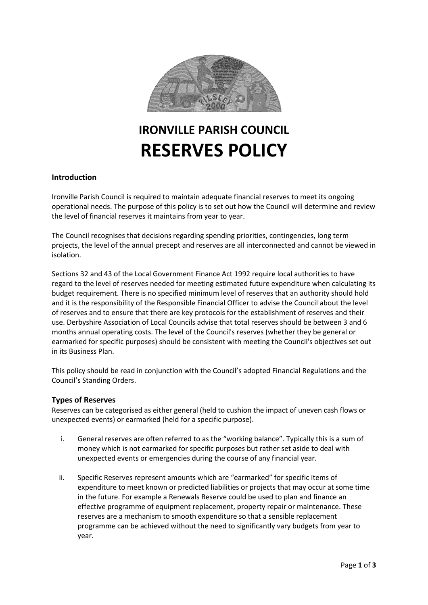

# **IRONVILLE PARISH COUNCIL RESERVES POLICY**

### **Introduction**

Ironville Parish Council is required to maintain adequate financial reserves to meet its ongoing operational needs. The purpose of this policy is to set out how the Council will determine and review the level of financial reserves it maintains from year to year.

The Council recognises that decisions regarding spending priorities, contingencies, long term projects, the level of the annual precept and reserves are all interconnected and cannot be viewed in isolation.

Sections 32 and 43 of the Local Government Finance Act 1992 require local authorities to have regard to the level of reserves needed for meeting estimated future expenditure when calculating its budget requirement. There is no specified minimum level of reserves that an authority should hold and it is the responsibility of the Responsible Financial Officer to advise the Council about the level of reserves and to ensure that there are key protocols for the establishment of reserves and their use. Derbyshire Association of Local Councils advise that total reserves should be between 3 and 6 months annual operating costs. The level of the Council's reserves (whether they be general or earmarked for specific purposes) should be consistent with meeting the Council's objectives set out in its Business Plan.

This policy should be read in conjunction with the Council's adopted Financial Regulations and the Council's Standing Orders.

#### **Types of Reserves**

Reserves can be categorised as either general (held to cushion the impact of uneven cash flows or unexpected events) or earmarked (held for a specific purpose).

- i. General reserves are often referred to as the "working balance". Typically this is a sum of money which is not earmarked for specific purposes but rather set aside to deal with unexpected events or emergencies during the course of any financial year.
- ii. Specific Reserves represent amounts which are "earmarked" for specific items of expenditure to meet known or predicted liabilities or projects that may occur at some time in the future. For example a Renewals Reserve could be used to plan and finance an effective programme of equipment replacement, property repair or maintenance. These reserves are a mechanism to smooth expenditure so that a sensible replacement programme can be achieved without the need to significantly vary budgets from year to year.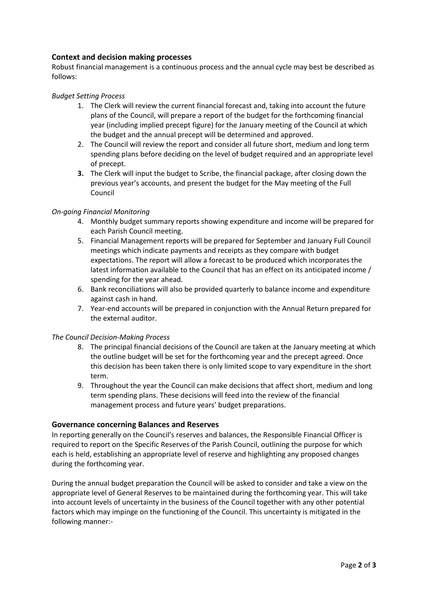## **Context and decision making processes**

Robust financial management is a continuous process and the annual cycle may best be described as follows:

#### *Budget Setting Process*

- 1. The Clerk will review the current financial forecast and, taking into account the future plans of the Council, will prepare a report of the budget for the forthcoming financial year (including implied precept figure) for the January meeting of the Council at which the budget and the annual precept will be determined and approved.
- 2. The Council will review the report and consider all future short, medium and long term spending plans before deciding on the level of budget required and an appropriate level of precept.
- **3.** The Clerk will input the budget to Scribe, the financial package, after closing down the previous year's accounts, and present the budget for the May meeting of the Full Council

#### *On-going Financial Monitoring*

- 4. Monthly budget summary reports showing expenditure and income will be prepared for each Parish Council meeting.
- 5. Financial Management reports will be prepared for September and January Full Council meetings which indicate payments and receipts as they compare with budget expectations. The report will allow a forecast to be produced which incorporates the latest information available to the Council that has an effect on its anticipated income / spending for the year ahead.
- 6. Bank reconciliations will also be provided quarterly to balance income and expenditure against cash in hand.
- 7. Year-end accounts will be prepared in conjunction with the Annual Return prepared for the external auditor.

#### *The Council Decision-Making Process*

- 8. The principal financial decisions of the Council are taken at the January meeting at which the outline budget will be set for the forthcoming year and the precept agreed. Once this decision has been taken there is only limited scope to vary expenditure in the short term.
- 9. Throughout the year the Council can make decisions that affect short, medium and long term spending plans. These decisions will feed into the review of the financial management process and future years' budget preparations.

#### **Governance concerning Balances and Reserves**

In reporting generally on the Council's reserves and balances, the Responsible Financial Officer is required to report on the Specific Reserves of the Parish Council, outlining the purpose for which each is held, establishing an appropriate level of reserve and highlighting any proposed changes during the forthcoming year.

During the annual budget preparation the Council will be asked to consider and take a view on the appropriate level of General Reserves to be maintained during the forthcoming year. This will take into account levels of uncertainty in the business of the Council together with any other potential factors which may impinge on the functioning of the Council. This uncertainty is mitigated in the following manner:-